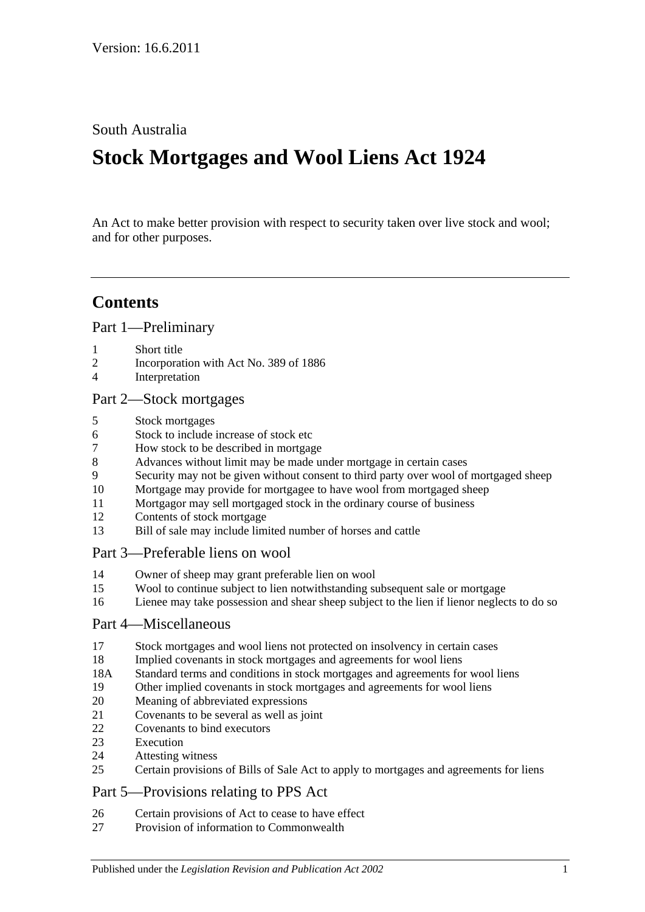South Australia

# **Stock Mortgages and Wool Liens Act 1924**

An Act to make better provision with respect to security taken over live stock and wool; and for other purposes.

## **Contents**

[Part 1—Preliminary](#page-1-0)

- [Short title](#page-1-1)
- [Incorporation with Act No. 389 of 1886](#page-1-2)
- [Interpretation](#page-1-3)

#### [Part 2—Stock mortgages](#page-2-0)

- [Stock mortgages](#page-2-1)
- [Stock to include increase of stock etc](#page-2-2)
- [How stock to be described in mortgage](#page-2-3)
- [Advances without limit may be made under mortgage in certain cases](#page-3-0)
- [Security may not be given without consent to third party over wool of mortgaged sheep](#page-3-1)
- [Mortgage may provide for mortgagee to have wool from mortgaged sheep](#page-3-2)
- [Mortgagor may sell mortgaged stock in the ordinary course of business](#page-3-3)
- [Contents of stock mortgage](#page-4-0)
- [Bill of sale may include limited number of horses and cattle](#page-4-1)

### [Part 3—Preferable liens on wool](#page-4-2)

- [Owner of sheep may grant preferable lien on wool](#page-4-3)
- [Wool to continue subject to lien notwithstanding subsequent sale or mortgage](#page-4-4)
- [Lienee may take possession and shear sheep subject to the lien if lienor neglects to do so](#page-5-0)

#### [Part 4—Miscellaneous](#page-5-1)

- [Stock mortgages and wool liens not protected on insolvency in certain cases](#page-5-2)
- [Implied covenants in stock mortgages and agreements for wool liens](#page-5-3)
- 18A [Standard terms and conditions in stock mortgages and agreements for wool liens](#page-5-4)
- [Other implied covenants in stock mortgages and agreements for](#page-6-0) wool liens
- [Meaning of abbreviated expressions](#page-6-1)
- [Covenants to be several as well as joint](#page-6-2)
- [Covenants to bind executors](#page-6-3)
- [Execution](#page-6-4)
- [Attesting witness](#page-7-0)
- [Certain provisions of Bills of Sale Act to apply to mortgages and agreements for liens](#page-7-1)

## [Part 5—Provisions relating to PPS Act](#page-7-2)

- [Certain provisions of Act to cease to have effect](#page-7-3)
- [Provision of information to Commonwealth](#page-7-4)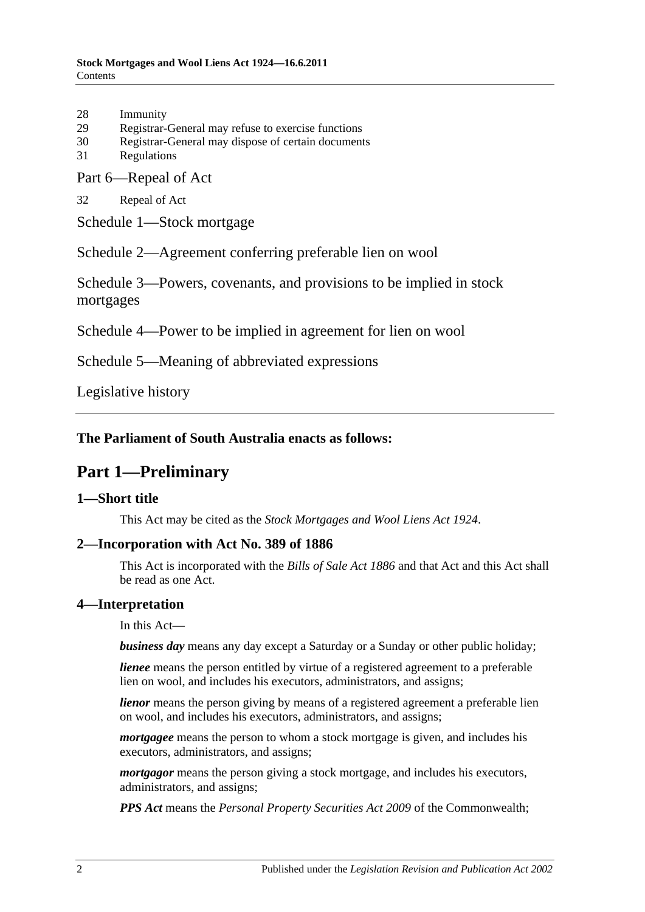- 28 [Immunity](#page-8-0)
- 29 [Registrar-General may refuse to exercise functions](#page-8-1)
- 30 [Registrar-General may dispose of certain documents](#page-8-2)
- 31 [Regulations](#page-8-3)

[Part 6—Repeal of Act](#page-8-4)

32 [Repeal of Act](#page-8-5)

[Schedule 1—Stock mortgage](#page-9-0)

[Schedule 2—Agreement conferring preferable lien on wool](#page-9-1)

[Schedule 3—Powers, covenants, and provisions to be implied in stock](#page-10-0)  [mortgages](#page-10-0)

[Schedule 4—Power to be implied in agreement for lien on wool](#page-12-0)

[Schedule 5—Meaning of abbreviated expressions](#page-12-1)

[Legislative history](#page-14-0)

### <span id="page-1-0"></span>**The Parliament of South Australia enacts as follows:**

## **Part 1—Preliminary**

#### <span id="page-1-1"></span>**1—Short title**

This Act may be cited as the *Stock Mortgages and Wool Liens Act 1924*.

#### <span id="page-1-2"></span>**2—Incorporation with Act No. 389 of 1886**

This Act is incorporated with the *[Bills of Sale Act](http://www.legislation.sa.gov.au/index.aspx?action=legref&type=act&legtitle=Bills%20of%20Sale%20Act%201886) 1886* and that Act and this Act shall be read as one Act.

#### <span id="page-1-3"></span>**4—Interpretation**

In this Act—

*business day* means any day except a Saturday or a Sunday or other public holiday;

*lienee* means the person entitled by virtue of a registered agreement to a preferable lien on wool, and includes his executors, administrators, and assigns;

*lienor* means the person giving by means of a registered agreement a preferable lien on wool, and includes his executors, administrators, and assigns;

*mortgagee* means the person to whom a stock mortgage is given, and includes his executors, administrators, and assigns;

*mortgagor* means the person giving a stock mortgage, and includes his executors, administrators, and assigns;

*PPS Act* means the *Personal Property Securities Act 2009* of the Commonwealth;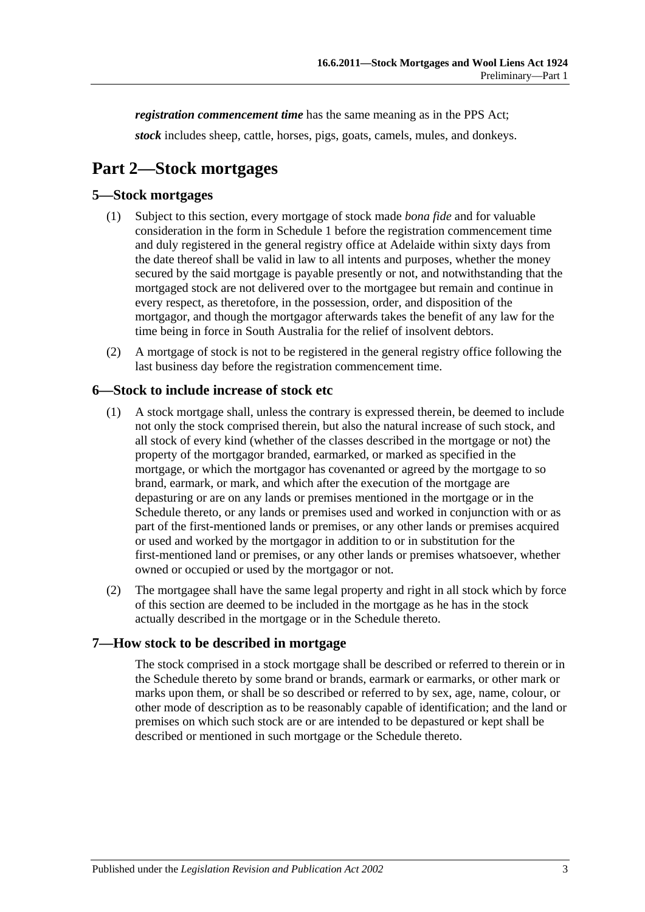*registration commencement time* has the same meaning as in the PPS Act;

*stock* includes sheep, cattle, horses, pigs, goats, camels, mules, and donkeys.

## <span id="page-2-0"></span>**Part 2—Stock mortgages**

### <span id="page-2-1"></span>**5—Stock mortgages**

- (1) Subject to this section, every mortgage of stock made *bona fide* and for valuable consideration in the form in [Schedule 1](#page-9-0) before the registration commencement time and duly registered in the general registry office at Adelaide within sixty days from the date thereof shall be valid in law to all intents and purposes, whether the money secured by the said mortgage is payable presently or not, and notwithstanding that the mortgaged stock are not delivered over to the mortgagee but remain and continue in every respect, as theretofore, in the possession, order, and disposition of the mortgagor, and though the mortgagor afterwards takes the benefit of any law for the time being in force in South Australia for the relief of insolvent debtors.
- (2) A mortgage of stock is not to be registered in the general registry office following the last business day before the registration commencement time.

#### <span id="page-2-2"></span>**6—Stock to include increase of stock etc**

- (1) A stock mortgage shall, unless the contrary is expressed therein, be deemed to include not only the stock comprised therein, but also the natural increase of such stock, and all stock of every kind (whether of the classes described in the mortgage or not) the property of the mortgagor branded, earmarked, or marked as specified in the mortgage, or which the mortgagor has covenanted or agreed by the mortgage to so brand, earmark, or mark, and which after the execution of the mortgage are depasturing or are on any lands or premises mentioned in the mortgage or in the Schedule thereto, or any lands or premises used and worked in conjunction with or as part of the first-mentioned lands or premises, or any other lands or premises acquired or used and worked by the mortgagor in addition to or in substitution for the first-mentioned land or premises, or any other lands or premises whatsoever, whether owned or occupied or used by the mortgagor or not.
- (2) The mortgagee shall have the same legal property and right in all stock which by force of this section are deemed to be included in the mortgage as he has in the stock actually described in the mortgage or in the Schedule thereto.

#### <span id="page-2-3"></span>**7—How stock to be described in mortgage**

The stock comprised in a stock mortgage shall be described or referred to therein or in the Schedule thereto by some brand or brands, earmark or earmarks, or other mark or marks upon them, or shall be so described or referred to by sex, age, name, colour, or other mode of description as to be reasonably capable of identification; and the land or premises on which such stock are or are intended to be depastured or kept shall be described or mentioned in such mortgage or the Schedule thereto.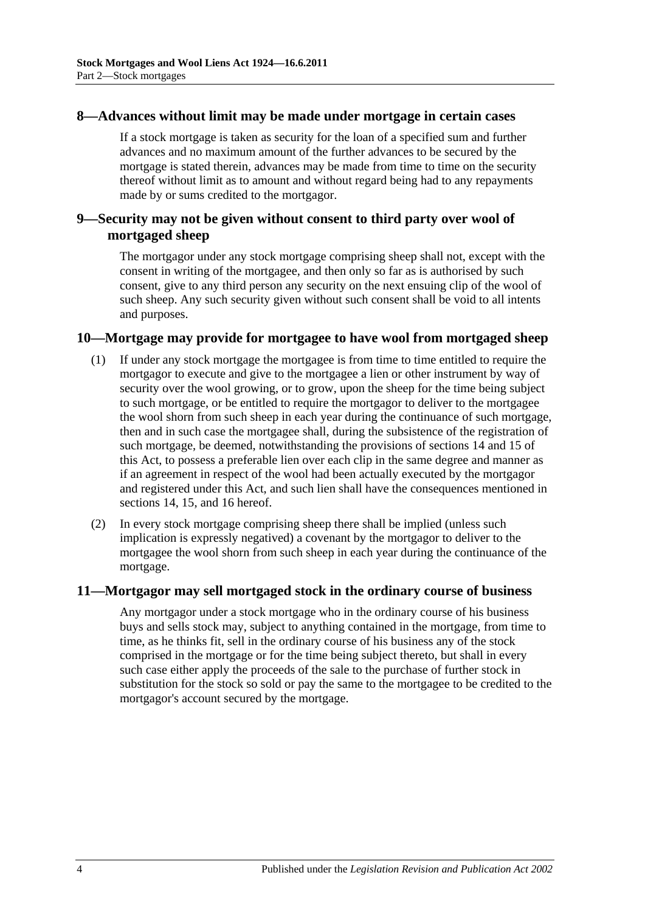#### <span id="page-3-0"></span>**8—Advances without limit may be made under mortgage in certain cases**

If a stock mortgage is taken as security for the loan of a specified sum and further advances and no maximum amount of the further advances to be secured by the mortgage is stated therein, advances may be made from time to time on the security thereof without limit as to amount and without regard being had to any repayments made by or sums credited to the mortgagor.

### <span id="page-3-1"></span>**9—Security may not be given without consent to third party over wool of mortgaged sheep**

The mortgagor under any stock mortgage comprising sheep shall not, except with the consent in writing of the mortgagee, and then only so far as is authorised by such consent, give to any third person any security on the next ensuing clip of the wool of such sheep. Any such security given without such consent shall be void to all intents and purposes.

#### <span id="page-3-2"></span>**10—Mortgage may provide for mortgagee to have wool from mortgaged sheep**

- (1) If under any stock mortgage the mortgagee is from time to time entitled to require the mortgagor to execute and give to the mortgagee a lien or other instrument by way of security over the wool growing, or to grow, upon the sheep for the time being subject to such mortgage, or be entitled to require the mortgagor to deliver to the mortgagee the wool shorn from such sheep in each year during the continuance of such mortgage, then and in such case the mortgagee shall, during the subsistence of the registration of such mortgage, be deemed, notwithstanding the provisions of [sections](#page-4-3) 14 and [15](#page-4-4) of this Act, to possess a preferable lien over each clip in the same degree and manner as if an agreement in respect of the wool had been actually executed by the mortgagor and registered under this Act, and such lien shall have the consequences mentioned in [sections](#page-4-3) 14, [15,](#page-4-4) and [16](#page-5-0) hereof.
- (2) In every stock mortgage comprising sheep there shall be implied (unless such implication is expressly negatived) a covenant by the mortgagor to deliver to the mortgagee the wool shorn from such sheep in each year during the continuance of the mortgage.

#### <span id="page-3-3"></span>**11—Mortgagor may sell mortgaged stock in the ordinary course of business**

Any mortgagor under a stock mortgage who in the ordinary course of his business buys and sells stock may, subject to anything contained in the mortgage, from time to time, as he thinks fit, sell in the ordinary course of his business any of the stock comprised in the mortgage or for the time being subject thereto, but shall in every such case either apply the proceeds of the sale to the purchase of further stock in substitution for the stock so sold or pay the same to the mortgagee to be credited to the mortgagor's account secured by the mortgage.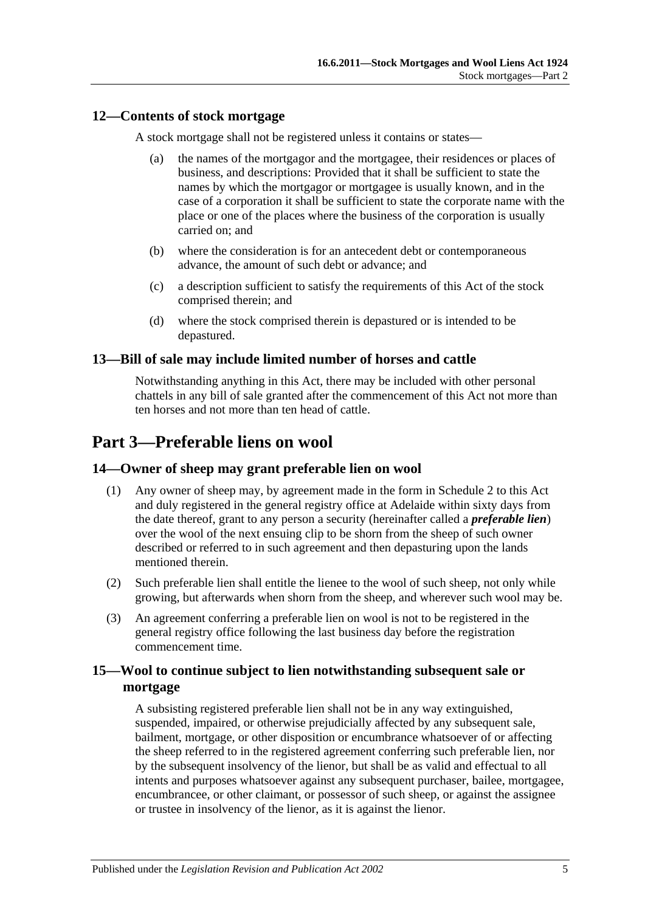### <span id="page-4-0"></span>**12—Contents of stock mortgage**

A stock mortgage shall not be registered unless it contains or states—

- (a) the names of the mortgagor and the mortgagee, their residences or places of business, and descriptions: Provided that it shall be sufficient to state the names by which the mortgagor or mortgagee is usually known, and in the case of a corporation it shall be sufficient to state the corporate name with the place or one of the places where the business of the corporation is usually carried on; and
- (b) where the consideration is for an antecedent debt or contemporaneous advance, the amount of such debt or advance; and
- (c) a description sufficient to satisfy the requirements of this Act of the stock comprised therein; and
- (d) where the stock comprised therein is depastured or is intended to be depastured.

### <span id="page-4-1"></span>**13—Bill of sale may include limited number of horses and cattle**

Notwithstanding anything in this Act, there may be included with other personal chattels in any bill of sale granted after the commencement of this Act not more than ten horses and not more than ten head of cattle.

## <span id="page-4-2"></span>**Part 3—Preferable liens on wool**

### <span id="page-4-3"></span>**14—Owner of sheep may grant preferable lien on wool**

- (1) Any owner of sheep may, by agreement made in the form in [Schedule 2](#page-9-1) to this Act and duly registered in the general registry office at Adelaide within sixty days from the date thereof, grant to any person a security (hereinafter called a *preferable lien*) over the wool of the next ensuing clip to be shorn from the sheep of such owner described or referred to in such agreement and then depasturing upon the lands mentioned therein.
- (2) Such preferable lien shall entitle the lienee to the wool of such sheep, not only while growing, but afterwards when shorn from the sheep, and wherever such wool may be.
- (3) An agreement conferring a preferable lien on wool is not to be registered in the general registry office following the last business day before the registration commencement time.

### <span id="page-4-4"></span>**15—Wool to continue subject to lien notwithstanding subsequent sale or mortgage**

A subsisting registered preferable lien shall not be in any way extinguished, suspended, impaired, or otherwise prejudicially affected by any subsequent sale, bailment, mortgage, or other disposition or encumbrance whatsoever of or affecting the sheep referred to in the registered agreement conferring such preferable lien, nor by the subsequent insolvency of the lienor, but shall be as valid and effectual to all intents and purposes whatsoever against any subsequent purchaser, bailee, mortgagee, encumbrancee, or other claimant, or possessor of such sheep, or against the assignee or trustee in insolvency of the lienor, as it is against the lienor.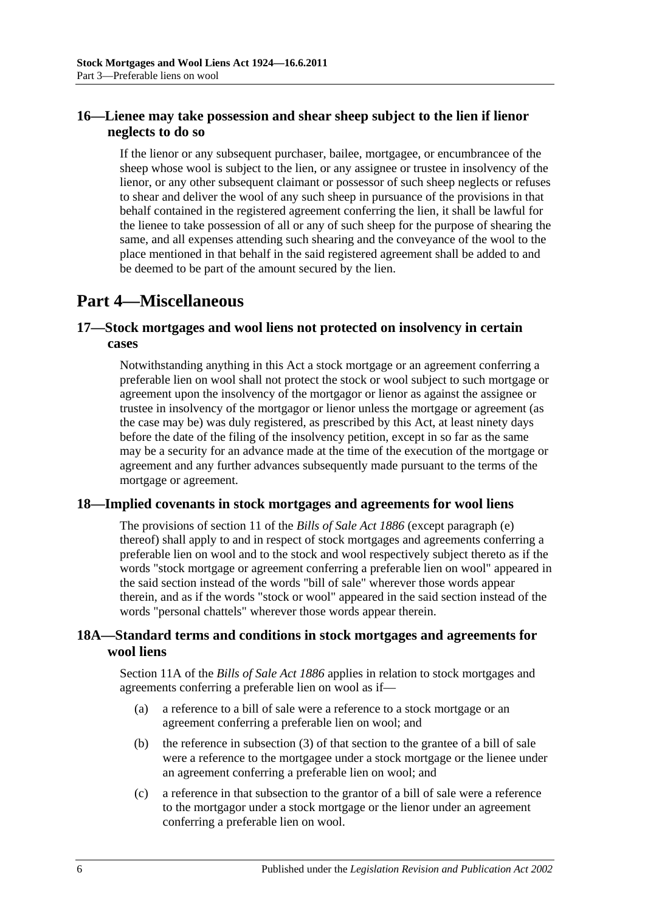## <span id="page-5-0"></span>**16—Lienee may take possession and shear sheep subject to the lien if lienor neglects to do so**

If the lienor or any subsequent purchaser, bailee, mortgagee, or encumbrancee of the sheep whose wool is subject to the lien, or any assignee or trustee in insolvency of the lienor, or any other subsequent claimant or possessor of such sheep neglects or refuses to shear and deliver the wool of any such sheep in pursuance of the provisions in that behalf contained in the registered agreement conferring the lien, it shall be lawful for the lienee to take possession of all or any of such sheep for the purpose of shearing the same, and all expenses attending such shearing and the conveyance of the wool to the place mentioned in that behalf in the said registered agreement shall be added to and be deemed to be part of the amount secured by the lien.

## <span id="page-5-1"></span>**Part 4—Miscellaneous**

## <span id="page-5-2"></span>**17—Stock mortgages and wool liens not protected on insolvency in certain cases**

Notwithstanding anything in this Act a stock mortgage or an agreement conferring a preferable lien on wool shall not protect the stock or wool subject to such mortgage or agreement upon the insolvency of the mortgagor or lienor as against the assignee or trustee in insolvency of the mortgagor or lienor unless the mortgage or agreement (as the case may be) was duly registered, as prescribed by this Act, at least ninety days before the date of the filing of the insolvency petition, except in so far as the same may be a security for an advance made at the time of the execution of the mortgage or agreement and any further advances subsequently made pursuant to the terms of the mortgage or agreement.

### <span id="page-5-3"></span>**18—Implied covenants in stock mortgages and agreements for wool liens**

The provisions of section 11 of the *[Bills of Sale Act](http://www.legislation.sa.gov.au/index.aspx?action=legref&type=act&legtitle=Bills%20of%20Sale%20Act%201886) 1886* (except paragraph (e) thereof) shall apply to and in respect of stock mortgages and agreements conferring a preferable lien on wool and to the stock and wool respectively subject thereto as if the words "stock mortgage or agreement conferring a preferable lien on wool" appeared in the said section instead of the words "bill of sale" wherever those words appear therein, and as if the words "stock or wool" appeared in the said section instead of the words "personal chattels" wherever those words appear therein.

### <span id="page-5-4"></span>**18A—Standard terms and conditions in stock mortgages and agreements for wool liens**

Section 11A of the *[Bills of Sale Act](http://www.legislation.sa.gov.au/index.aspx?action=legref&type=act&legtitle=Bills%20of%20Sale%20Act%201886) 1886* applies in relation to stock mortgages and agreements conferring a preferable lien on wool as if—

- (a) a reference to a bill of sale were a reference to a stock mortgage or an agreement conferring a preferable lien on wool; and
- (b) the reference in subsection (3) of that section to the grantee of a bill of sale were a reference to the mortgagee under a stock mortgage or the lienee under an agreement conferring a preferable lien on wool; and
- (c) a reference in that subsection to the grantor of a bill of sale were a reference to the mortgagor under a stock mortgage or the lienor under an agreement conferring a preferable lien on wool.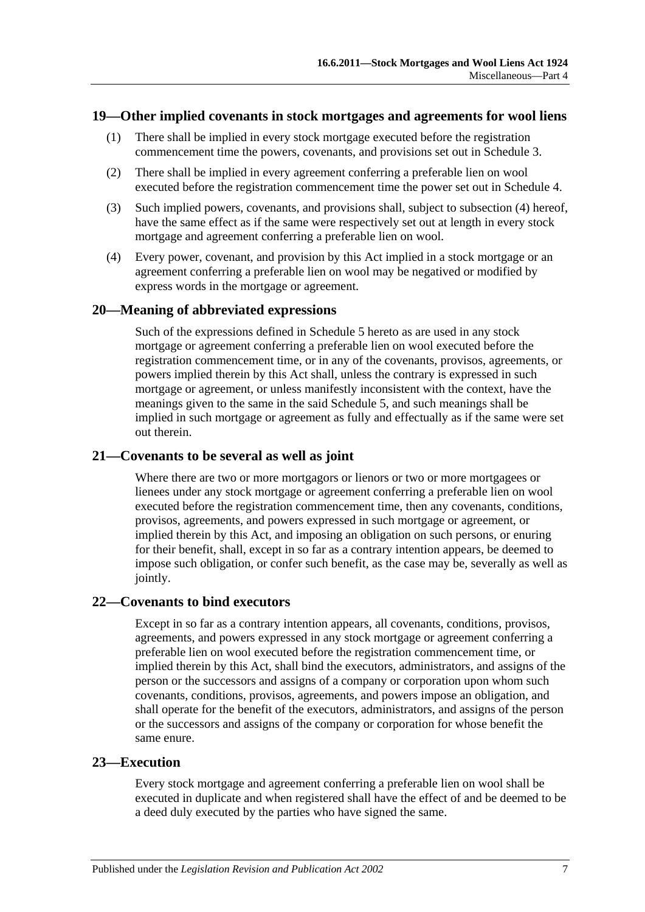#### <span id="page-6-0"></span>**19—Other implied covenants in stock mortgages and agreements for wool liens**

- (1) There shall be implied in every stock mortgage executed before the registration commencement time the powers, covenants, and provisions set out in [Schedule 3.](#page-10-0)
- (2) There shall be implied in every agreement conferring a preferable lien on wool executed before the registration commencement time the power set out in [Schedule 4.](#page-12-0)
- (3) Such implied powers, covenants, and provisions shall, subject to [subsection](#page-6-5) (4) hereof, have the same effect as if the same were respectively set out at length in every stock mortgage and agreement conferring a preferable lien on wool.
- <span id="page-6-5"></span>(4) Every power, covenant, and provision by this Act implied in a stock mortgage or an agreement conferring a preferable lien on wool may be negatived or modified by express words in the mortgage or agreement.

#### <span id="page-6-1"></span>**20—Meaning of abbreviated expressions**

Such of the expressions defined in [Schedule 5](#page-12-1) hereto as are used in any stock mortgage or agreement conferring a preferable lien on wool executed before the registration commencement time, or in any of the covenants, provisos, agreements, or powers implied therein by this Act shall, unless the contrary is expressed in such mortgage or agreement, or unless manifestly inconsistent with the context, have the meanings given to the same in the said [Schedule 5,](#page-12-1) and such meanings shall be implied in such mortgage or agreement as fully and effectually as if the same were set out therein.

#### <span id="page-6-2"></span>**21—Covenants to be several as well as joint**

Where there are two or more mortgagors or lienors or two or more mortgagees or lienees under any stock mortgage or agreement conferring a preferable lien on wool executed before the registration commencement time, then any covenants, conditions, provisos, agreements, and powers expressed in such mortgage or agreement, or implied therein by this Act, and imposing an obligation on such persons, or enuring for their benefit, shall, except in so far as a contrary intention appears, be deemed to impose such obligation, or confer such benefit, as the case may be, severally as well as jointly.

#### <span id="page-6-3"></span>**22—Covenants to bind executors**

Except in so far as a contrary intention appears, all covenants, conditions, provisos, agreements, and powers expressed in any stock mortgage or agreement conferring a preferable lien on wool executed before the registration commencement time, or implied therein by this Act, shall bind the executors, administrators, and assigns of the person or the successors and assigns of a company or corporation upon whom such covenants, conditions, provisos, agreements, and powers impose an obligation, and shall operate for the benefit of the executors, administrators, and assigns of the person or the successors and assigns of the company or corporation for whose benefit the same enure.

#### <span id="page-6-4"></span>**23—Execution**

Every stock mortgage and agreement conferring a preferable lien on wool shall be executed in duplicate and when registered shall have the effect of and be deemed to be a deed duly executed by the parties who have signed the same.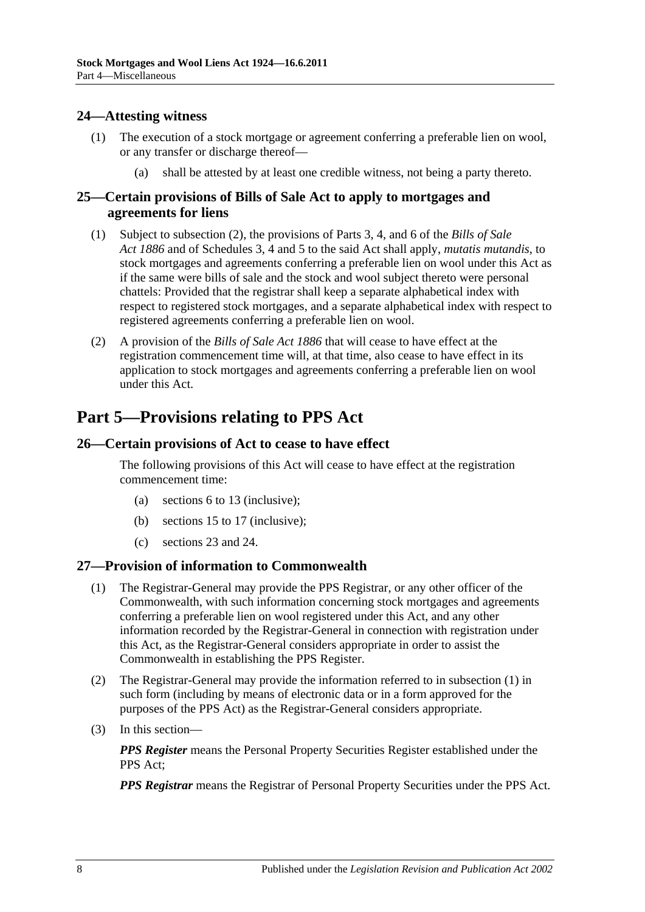### <span id="page-7-0"></span>**24—Attesting witness**

- (1) The execution of a stock mortgage or agreement conferring a preferable lien on wool, or any transfer or discharge thereof—
	- (a) shall be attested by at least one credible witness, not being a party thereto.

### <span id="page-7-1"></span>**25—Certain provisions of Bills of Sale Act to apply to mortgages and agreements for liens**

- (1) Subject to [subsection](#page-7-5) (2), the provisions of Parts 3, 4, and 6 of the *[Bills of Sale](http://www.legislation.sa.gov.au/index.aspx?action=legref&type=act&legtitle=Bills%20of%20Sale%20Act%201886)  Act [1886](http://www.legislation.sa.gov.au/index.aspx?action=legref&type=act&legtitle=Bills%20of%20Sale%20Act%201886)* and of Schedules 3, 4 and 5 to the said Act shall apply, *mutatis mutandis*, to stock mortgages and agreements conferring a preferable lien on wool under this Act as if the same were bills of sale and the stock and wool subject thereto were personal chattels: Provided that the registrar shall keep a separate alphabetical index with respect to registered stock mortgages, and a separate alphabetical index with respect to registered agreements conferring a preferable lien on wool.
- <span id="page-7-5"></span>(2) A provision of the *[Bills of Sale Act](http://www.legislation.sa.gov.au/index.aspx?action=legref&type=act&legtitle=Bills%20of%20Sale%20Act%201886) 1886* that will cease to have effect at the registration commencement time will, at that time, also cease to have effect in its application to stock mortgages and agreements conferring a preferable lien on wool under this Act.

## <span id="page-7-2"></span>**Part 5—Provisions relating to PPS Act**

### <span id="page-7-3"></span>**26—Certain provisions of Act to cease to have effect**

The following provisions of this Act will cease to have effect at the registration commencement time:

- (a) sections 6 to 13 (inclusive);
- (b) sections 15 to 17 (inclusive);
- (c) sections 23 and 24.

#### <span id="page-7-6"></span><span id="page-7-4"></span>**27—Provision of information to Commonwealth**

- (1) The Registrar-General may provide the PPS Registrar, or any other officer of the Commonwealth, with such information concerning stock mortgages and agreements conferring a preferable lien on wool registered under this Act, and any other information recorded by the Registrar-General in connection with registration under this Act, as the Registrar-General considers appropriate in order to assist the Commonwealth in establishing the PPS Register.
- (2) The Registrar-General may provide the information referred to in [subsection](#page-7-6) (1) in such form (including by means of electronic data or in a form approved for the purposes of the PPS Act) as the Registrar-General considers appropriate.
- (3) In this section—

*PPS Register* means the Personal Property Securities Register established under the PPS Act;

*PPS Registrar* means the Registrar of Personal Property Securities under the PPS Act.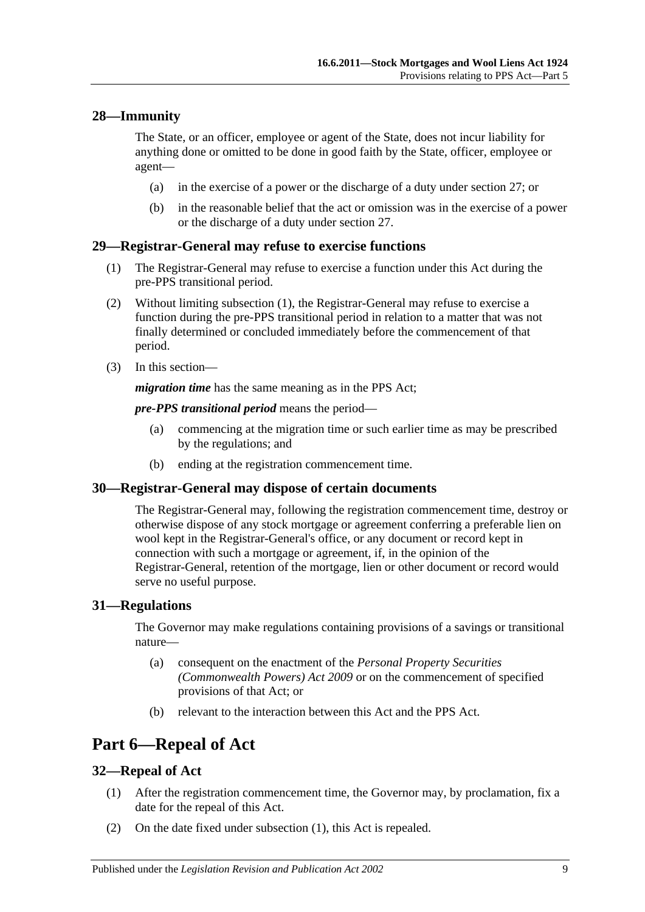### <span id="page-8-0"></span>**28—Immunity**

The State, or an officer, employee or agent of the State, does not incur liability for anything done or omitted to be done in good faith by the State, officer, employee or agent—

- (a) in the exercise of a power or the discharge of a duty under [section](#page-7-4) 27; or
- (b) in the reasonable belief that the act or omission was in the exercise of a power or the discharge of a duty under [section](#page-7-4) 27.

#### <span id="page-8-6"></span><span id="page-8-1"></span>**29—Registrar-General may refuse to exercise functions**

- (1) The Registrar-General may refuse to exercise a function under this Act during the pre-PPS transitional period.
- (2) Without limiting [subsection](#page-8-6) (1), the Registrar-General may refuse to exercise a function during the pre-PPS transitional period in relation to a matter that was not finally determined or concluded immediately before the commencement of that period.
- (3) In this section—

*migration time* has the same meaning as in the PPS Act:

*pre-PPS transitional period* means the period—

- (a) commencing at the migration time or such earlier time as may be prescribed by the regulations; and
- (b) ending at the registration commencement time.

#### <span id="page-8-2"></span>**30—Registrar-General may dispose of certain documents**

The Registrar-General may, following the registration commencement time, destroy or otherwise dispose of any stock mortgage or agreement conferring a preferable lien on wool kept in the Registrar-General's office, or any document or record kept in connection with such a mortgage or agreement, if, in the opinion of the Registrar-General, retention of the mortgage, lien or other document or record would serve no useful purpose.

### <span id="page-8-3"></span>**31—Regulations**

The Governor may make regulations containing provisions of a savings or transitional nature—

- (a) consequent on the enactment of the *[Personal Property Securities](http://www.legislation.sa.gov.au/index.aspx?action=legref&type=act&legtitle=Personal%20Property%20Securities%20(Commonwealth%20Powers)%20Act%202009)  [\(Commonwealth Powers\) Act](http://www.legislation.sa.gov.au/index.aspx?action=legref&type=act&legtitle=Personal%20Property%20Securities%20(Commonwealth%20Powers)%20Act%202009) 2009* or on the commencement of specified provisions of that Act; or
- (b) relevant to the interaction between this Act and the PPS Act.

## <span id="page-8-4"></span>**Part 6—Repeal of Act**

#### <span id="page-8-7"></span><span id="page-8-5"></span>**32—Repeal of Act**

- (1) After the registration commencement time, the Governor may, by proclamation, fix a date for the repeal of this Act.
- (2) On the date fixed under [subsection](#page-8-7) (1), this Act is repealed.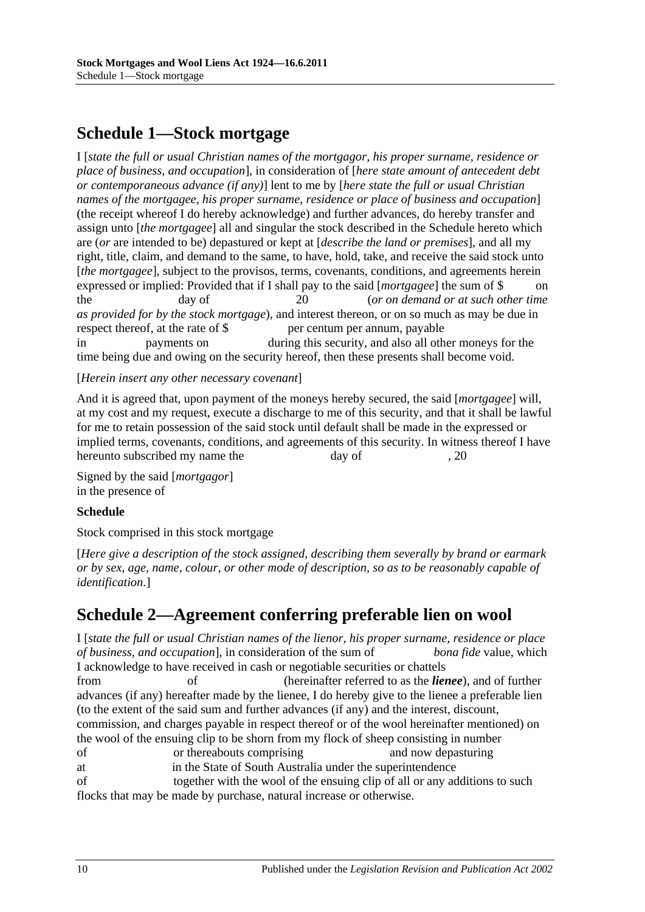## <span id="page-9-0"></span>**Schedule 1—Stock mortgage**

I [*state the full or usual Christian names of the mortgagor, his proper surname, residence or place of business, and occupation*], in consideration of [*here state amount of antecedent debt or contemporaneous advance (if any)*] lent to me by [*here state the full or usual Christian names of the mortgagee, his proper surname, residence or place of business and occupation*] (the receipt whereof I do hereby acknowledge) and further advances, do hereby transfer and assign unto [*the mortgagee*] all and singular the stock described in the Schedule hereto which are (*or* are intended to be) depastured or kept at [*describe the land or premises*], and all my right, title, claim, and demand to the same, to have, hold, take, and receive the said stock unto [*the mortgagee*], subject to the provisos, terms, covenants, conditions, and agreements herein expressed or implied: Provided that if I shall pay to the said [*mortgagee*] the sum of \$ the day of 20 (*or on demand or at such other time as provided for by the stock mortgage*), and interest thereon, or on so much as may be due in respect thereof, at the rate of \$ per centum per annum, payable in payments on during this security, and also all other moneys for the time being due and owing on the security hereof, then these presents shall become void.

[*Herein insert any other necessary covenant*]

And it is agreed that, upon payment of the moneys hereby secured, the said [*mortgagee*] will, at my cost and my request, execute a discharge to me of this security, and that it shall be lawful for me to retain possession of the said stock until default shall be made in the expressed or implied terms, covenants, conditions, and agreements of this security. In witness thereof I have hereunto subscribed my name the day of , 20

Signed by the said [*mortgagor*] in the presence of

#### **Schedule**

Stock comprised in this stock mortgage

[*Here give a description of the stock assigned, describing them severally by brand or earmark or by sex, age, name, colour, or other mode of description, so as to be reasonably capable of identification.*]

## <span id="page-9-1"></span>**Schedule 2—Agreement conferring preferable lien on wool**

I [*state the full or usual Christian names of the lienor, his proper surname, residence or place of business, and occupation*], in consideration of the sum of *bona fide* value, which I acknowledge to have received in cash or negotiable securities or chattels

from of (hereinafter referred to as the *lienee*), and of further advances (if any) hereafter made by the lienee, I do hereby give to the lienee a preferable lien (to the extent of the said sum and further advances (if any) and the interest, discount, commission, and charges payable in respect thereof or of the wool hereinafter mentioned) on the wool of the ensuing clip to be shorn from my flock of sheep consisting in number

- of or thereabouts comprising and now depasturing
- at in the State of South Australia under the superintendence

of together with the wool of the ensuing clip of all or any additions to such flocks that may be made by purchase, natural increase or otherwise.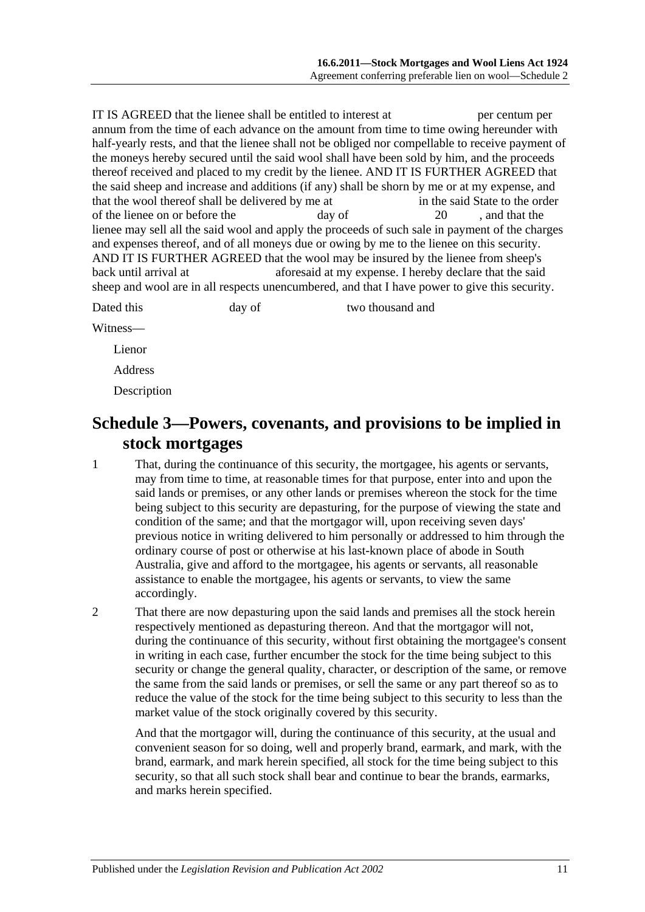IT IS AGREED that the lienee shall be entitled to interest at per centum per annum from the time of each advance on the amount from time to time owing hereunder with half-yearly rests, and that the lienee shall not be obliged nor compellable to receive payment of the moneys hereby secured until the said wool shall have been sold by him, and the proceeds thereof received and placed to my credit by the lienee. AND IT IS FURTHER AGREED that the said sheep and increase and additions (if any) shall be shorn by me or at my expense, and that the wool thereof shall be delivered by me at in the said State to the order of the lienee on or before the day of 20 , and that the lienee may sell all the said wool and apply the proceeds of such sale in payment of the charges and expenses thereof, and of all moneys due or owing by me to the lienee on this security. AND IT IS FURTHER AGREED that the wool may be insured by the lienee from sheep's back until arrival at aforesaid at my expense. I hereby declare that the said sheep and wool are in all respects unencumbered, and that I have power to give this security.

Dated this day of two thousand and

Witness—

Lienor

Address

Description

## <span id="page-10-0"></span>**Schedule 3—Powers, covenants, and provisions to be implied in stock mortgages**

- 1 That, during the continuance of this security, the mortgagee, his agents or servants, may from time to time, at reasonable times for that purpose, enter into and upon the said lands or premises, or any other lands or premises whereon the stock for the time being subject to this security are depasturing, for the purpose of viewing the state and condition of the same; and that the mortgagor will, upon receiving seven days' previous notice in writing delivered to him personally or addressed to him through the ordinary course of post or otherwise at his last-known place of abode in South Australia, give and afford to the mortgagee, his agents or servants, all reasonable assistance to enable the mortgagee, his agents or servants, to view the same accordingly.
- 2 That there are now depasturing upon the said lands and premises all the stock herein respectively mentioned as depasturing thereon. And that the mortgagor will not, during the continuance of this security, without first obtaining the mortgagee's consent in writing in each case, further encumber the stock for the time being subject to this security or change the general quality, character, or description of the same, or remove the same from the said lands or premises, or sell the same or any part thereof so as to reduce the value of the stock for the time being subject to this security to less than the market value of the stock originally covered by this security.

And that the mortgagor will, during the continuance of this security, at the usual and convenient season for so doing, well and properly brand, earmark, and mark, with the brand, earmark, and mark herein specified, all stock for the time being subject to this security, so that all such stock shall bear and continue to bear the brands, earmarks, and marks herein specified.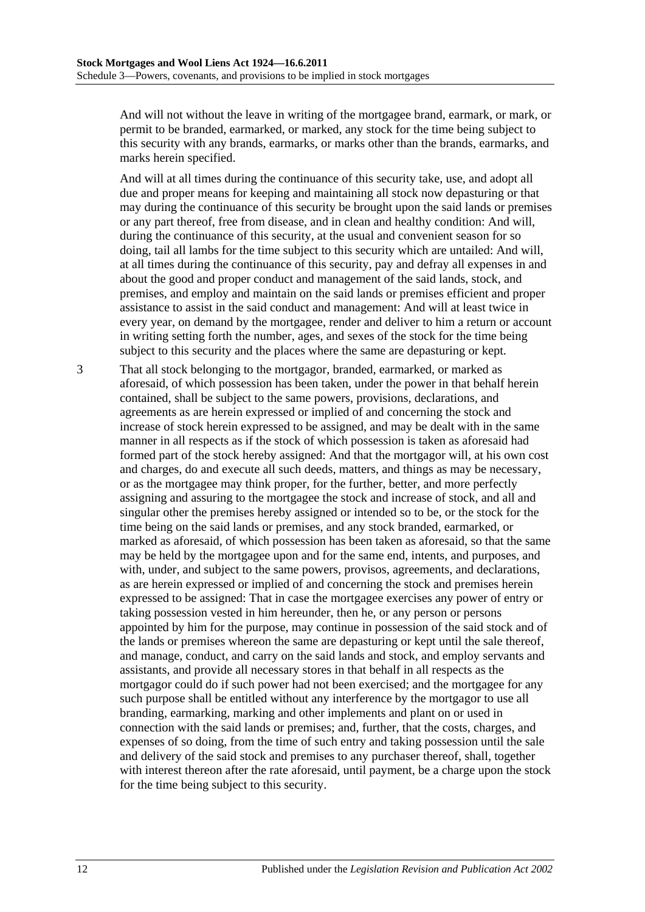And will not without the leave in writing of the mortgagee brand, earmark, or mark, or permit to be branded, earmarked, or marked, any stock for the time being subject to this security with any brands, earmarks, or marks other than the brands, earmarks, and marks herein specified.

And will at all times during the continuance of this security take, use, and adopt all due and proper means for keeping and maintaining all stock now depasturing or that may during the continuance of this security be brought upon the said lands or premises or any part thereof, free from disease, and in clean and healthy condition: And will, during the continuance of this security, at the usual and convenient season for so doing, tail all lambs for the time subject to this security which are untailed: And will, at all times during the continuance of this security, pay and defray all expenses in and about the good and proper conduct and management of the said lands, stock, and premises, and employ and maintain on the said lands or premises efficient and proper assistance to assist in the said conduct and management: And will at least twice in every year, on demand by the mortgagee, render and deliver to him a return or account in writing setting forth the number, ages, and sexes of the stock for the time being subject to this security and the places where the same are depasturing or kept.

3 That all stock belonging to the mortgagor, branded, earmarked, or marked as aforesaid, of which possession has been taken, under the power in that behalf herein contained, shall be subject to the same powers, provisions, declarations, and agreements as are herein expressed or implied of and concerning the stock and increase of stock herein expressed to be assigned, and may be dealt with in the same manner in all respects as if the stock of which possession is taken as aforesaid had formed part of the stock hereby assigned: And that the mortgagor will, at his own cost and charges, do and execute all such deeds, matters, and things as may be necessary, or as the mortgagee may think proper, for the further, better, and more perfectly assigning and assuring to the mortgagee the stock and increase of stock, and all and singular other the premises hereby assigned or intended so to be, or the stock for the time being on the said lands or premises, and any stock branded, earmarked, or marked as aforesaid, of which possession has been taken as aforesaid, so that the same may be held by the mortgagee upon and for the same end, intents, and purposes, and with, under, and subject to the same powers, provisos, agreements, and declarations, as are herein expressed or implied of and concerning the stock and premises herein expressed to be assigned: That in case the mortgagee exercises any power of entry or taking possession vested in him hereunder, then he, or any person or persons appointed by him for the purpose, may continue in possession of the said stock and of the lands or premises whereon the same are depasturing or kept until the sale thereof, and manage, conduct, and carry on the said lands and stock, and employ servants and assistants, and provide all necessary stores in that behalf in all respects as the mortgagor could do if such power had not been exercised; and the mortgagee for any such purpose shall be entitled without any interference by the mortgagor to use all branding, earmarking, marking and other implements and plant on or used in connection with the said lands or premises; and, further, that the costs, charges, and expenses of so doing, from the time of such entry and taking possession until the sale and delivery of the said stock and premises to any purchaser thereof, shall, together with interest thereon after the rate aforesaid, until payment, be a charge upon the stock for the time being subject to this security.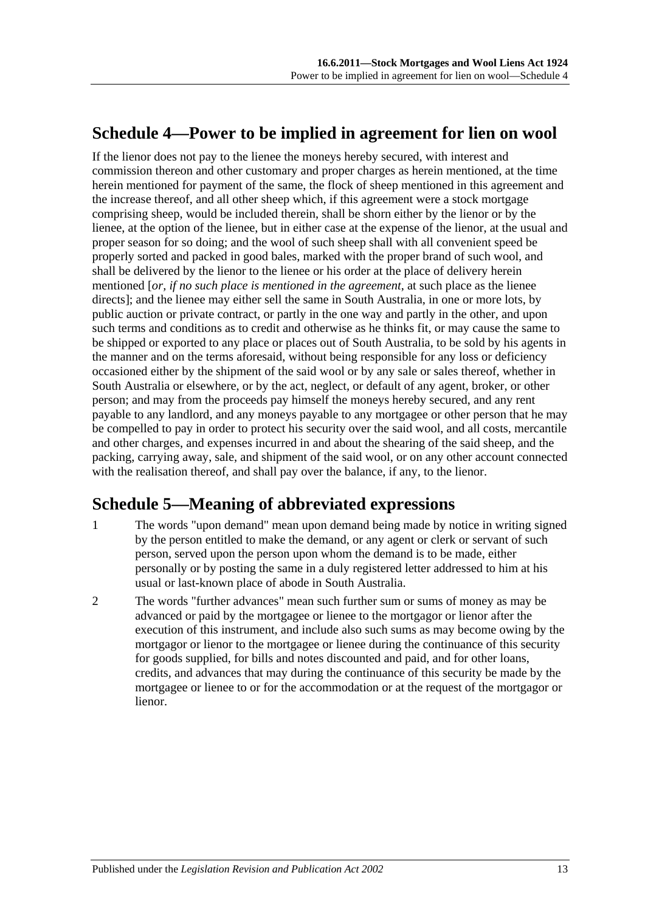## <span id="page-12-0"></span>**Schedule 4—Power to be implied in agreement for lien on wool**

If the lienor does not pay to the lienee the moneys hereby secured, with interest and commission thereon and other customary and proper charges as herein mentioned, at the time herein mentioned for payment of the same, the flock of sheep mentioned in this agreement and the increase thereof, and all other sheep which, if this agreement were a stock mortgage comprising sheep, would be included therein, shall be shorn either by the lienor or by the lienee, at the option of the lienee, but in either case at the expense of the lienor, at the usual and proper season for so doing; and the wool of such sheep shall with all convenient speed be properly sorted and packed in good bales, marked with the proper brand of such wool, and shall be delivered by the lienor to the lienee or his order at the place of delivery herein mentioned [*or, if no such place is mentioned in the agreement*, at such place as the lienee directs]; and the lienee may either sell the same in South Australia, in one or more lots, by public auction or private contract, or partly in the one way and partly in the other, and upon such terms and conditions as to credit and otherwise as he thinks fit, or may cause the same to be shipped or exported to any place or places out of South Australia, to be sold by his agents in the manner and on the terms aforesaid, without being responsible for any loss or deficiency occasioned either by the shipment of the said wool or by any sale or sales thereof, whether in South Australia or elsewhere, or by the act, neglect, or default of any agent, broker, or other person; and may from the proceeds pay himself the moneys hereby secured, and any rent payable to any landlord, and any moneys payable to any mortgagee or other person that he may be compelled to pay in order to protect his security over the said wool, and all costs, mercantile and other charges, and expenses incurred in and about the shearing of the said sheep, and the packing, carrying away, sale, and shipment of the said wool, or on any other account connected with the realisation thereof, and shall pay over the balance, if any, to the lienor.

## <span id="page-12-1"></span>**Schedule 5—Meaning of abbreviated expressions**

- 1 The words "upon demand" mean upon demand being made by notice in writing signed by the person entitled to make the demand, or any agent or clerk or servant of such person, served upon the person upon whom the demand is to be made, either personally or by posting the same in a duly registered letter addressed to him at his usual or last-known place of abode in South Australia.
- 2 The words "further advances" mean such further sum or sums of money as may be advanced or paid by the mortgagee or lienee to the mortgagor or lienor after the execution of this instrument, and include also such sums as may become owing by the mortgagor or lienor to the mortgagee or lienee during the continuance of this security for goods supplied, for bills and notes discounted and paid, and for other loans, credits, and advances that may during the continuance of this security be made by the mortgagee or lienee to or for the accommodation or at the request of the mortgagor or lienor.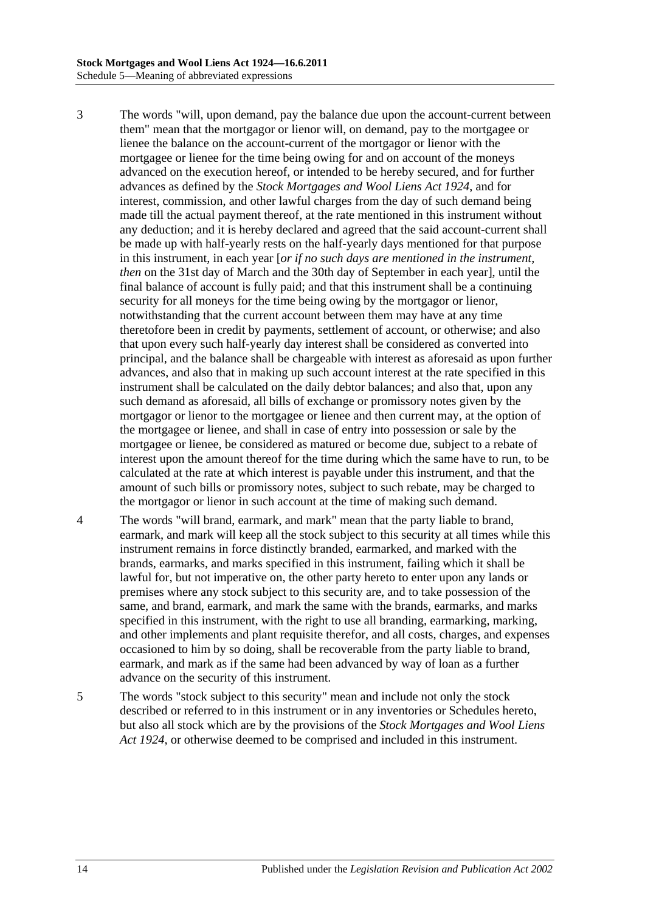- 3 The words "will, upon demand, pay the balance due upon the account-current between them" mean that the mortgagor or lienor will, on demand, pay to the mortgagee or lienee the balance on the account-current of the mortgagor or lienor with the mortgagee or lienee for the time being owing for and on account of the moneys advanced on the execution hereof, or intended to be hereby secured, and for further advances as defined by the *[Stock Mortgages and Wool Liens Act](http://www.legislation.sa.gov.au/index.aspx?action=legref&type=act&legtitle=Stock%20Mortgages%20and%20Wool%20Liens%20Act%201924) 1924*, and for interest, commission, and other lawful charges from the day of such demand being made till the actual payment thereof, at the rate mentioned in this instrument without any deduction; and it is hereby declared and agreed that the said account-current shall be made up with half-yearly rests on the half-yearly days mentioned for that purpose in this instrument, in each year [*or if no such days are mentioned in the instrument, then* on the 31st day of March and the 30th day of September in each year], until the final balance of account is fully paid; and that this instrument shall be a continuing security for all moneys for the time being owing by the mortgagor or lienor, notwithstanding that the current account between them may have at any time theretofore been in credit by payments, settlement of account, or otherwise; and also that upon every such half-yearly day interest shall be considered as converted into principal, and the balance shall be chargeable with interest as aforesaid as upon further advances, and also that in making up such account interest at the rate specified in this instrument shall be calculated on the daily debtor balances; and also that, upon any such demand as aforesaid, all bills of exchange or promissory notes given by the mortgagor or lienor to the mortgagee or lienee and then current may, at the option of the mortgagee or lienee, and shall in case of entry into possession or sale by the mortgagee or lienee, be considered as matured or become due, subject to a rebate of interest upon the amount thereof for the time during which the same have to run, to be calculated at the rate at which interest is payable under this instrument, and that the amount of such bills or promissory notes, subject to such rebate, may be charged to the mortgagor or lienor in such account at the time of making such demand.
- 4 The words "will brand, earmark, and mark" mean that the party liable to brand, earmark, and mark will keep all the stock subject to this security at all times while this instrument remains in force distinctly branded, earmarked, and marked with the brands, earmarks, and marks specified in this instrument, failing which it shall be lawful for, but not imperative on, the other party hereto to enter upon any lands or premises where any stock subject to this security are, and to take possession of the same, and brand, earmark, and mark the same with the brands, earmarks, and marks specified in this instrument, with the right to use all branding, earmarking, marking, and other implements and plant requisite therefor, and all costs, charges, and expenses occasioned to him by so doing, shall be recoverable from the party liable to brand, earmark, and mark as if the same had been advanced by way of loan as a further advance on the security of this instrument.
- 5 The words "stock subject to this security" mean and include not only the stock described or referred to in this instrument or in any inventories or Schedules hereto, but also all stock which are by the provisions of the *[Stock Mortgages and Wool Liens](http://www.legislation.sa.gov.au/index.aspx?action=legref&type=act&legtitle=Stock%20Mortgages%20and%20Wool%20Liens%20Act%201924)  Act [1924](http://www.legislation.sa.gov.au/index.aspx?action=legref&type=act&legtitle=Stock%20Mortgages%20and%20Wool%20Liens%20Act%201924)*, or otherwise deemed to be comprised and included in this instrument.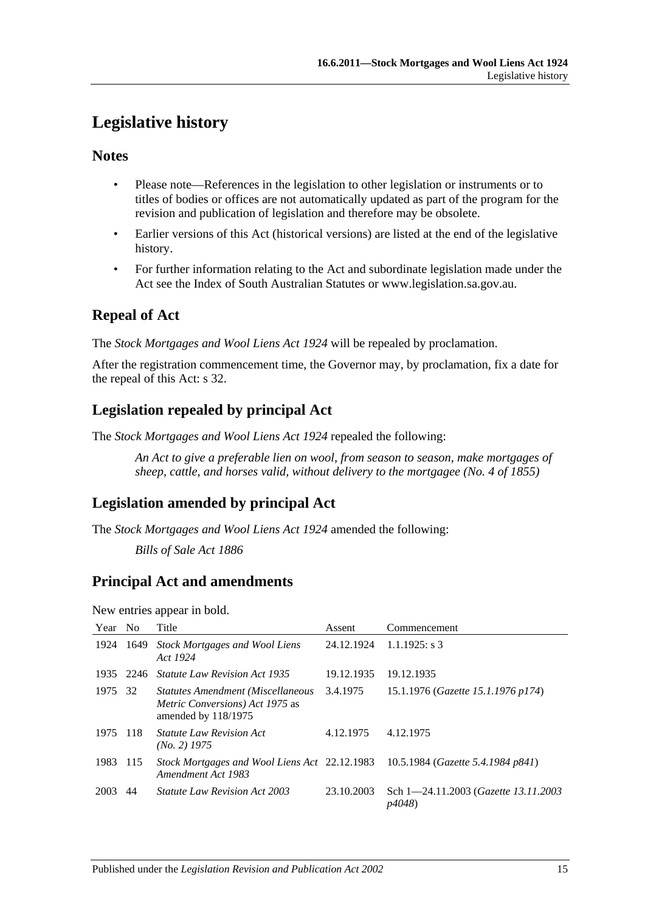## <span id="page-14-0"></span>**Legislative history**

## **Notes**

- Please note—References in the legislation to other legislation or instruments or to titles of bodies or offices are not automatically updated as part of the program for the revision and publication of legislation and therefore may be obsolete.
- Earlier versions of this Act (historical versions) are listed at the end of the legislative history.
- For further information relating to the Act and subordinate legislation made under the Act see the Index of South Australian Statutes or www.legislation.sa.gov.au.

## **Repeal of Act**

The *Stock Mortgages and Wool Liens Act 1924* will be repealed by proclamation.

After the registration commencement time, the Governor may, by proclamation, fix a date for the repeal of this Act: s 32.

## **Legislation repealed by principal Act**

The *Stock Mortgages and Wool Liens Act 1924* repealed the following:

*An Act to give a preferable lien on wool, from season to season, make mortgages of sheep, cattle, and horses valid, without delivery to the mortgagee (No. 4 of 1855)*

## **Legislation amended by principal Act**

The *Stock Mortgages and Wool Liens Act 1924* amended the following:

*Bills of Sale Act 1886*

## **Principal Act and amendments**

New entries appear in bold.

| Year | N <sub>0</sub> | Title                                                                                       | Assent     | Commencement                                          |
|------|----------------|---------------------------------------------------------------------------------------------|------------|-------------------------------------------------------|
| 1924 | 1649           | Stock Mortgages and Wool Liens<br>Act 1924                                                  | 24.12.1924 | $1.1.1925$ : s 3                                      |
| 1935 | 2246           | <b>Statute Law Revision Act 1935</b>                                                        | 19.12.1935 | 19.12.1935                                            |
| 1975 | 32             | Statutes Amendment (Miscellaneous<br>Metric Conversions) Act 1975 as<br>amended by 118/1975 | 3.4.1975   | 15.1.1976 (Gazette 15.1.1976 p174)                    |
| 1975 | -118           | <i>Statute Law Revision Act</i><br>$(No. 2)$ 1975                                           | 4.12.1975  | 4.12.1975                                             |
| 1983 | 115            | Stock Mortgages and Wool Liens Act 22.12.1983<br>Amendment Act 1983                         |            | 10.5.1984 (Gazette 5.4.1984 p841)                     |
| 2003 | 44             | <i>Statute Law Revision Act 2003</i>                                                        | 23.10.2003 | Sch 1-24.11.2003 ( <i>Gazette 13.11.2003</i><br>p4048 |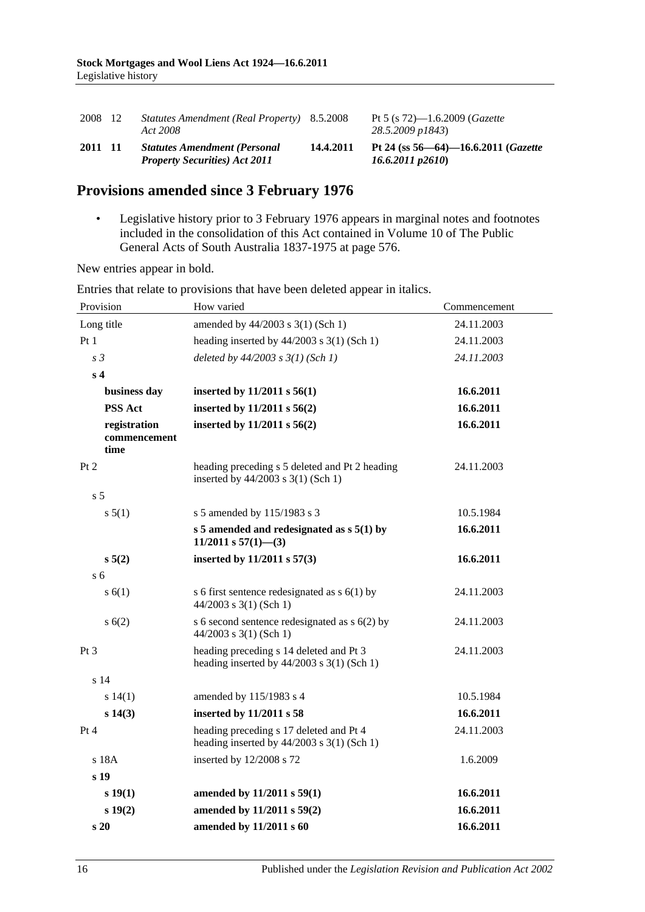| 2008 12 | Statutes Amendment (Real Property) 8.5.2008<br>Act 2008                     |           | Pt 5 (s $72$ )—1.6.2009 ( <i>Gazette</i><br>28.5.2009 p1843)             |
|---------|-----------------------------------------------------------------------------|-----------|--------------------------------------------------------------------------|
| 2011 11 | <b>Statutes Amendment (Personal</b><br><b>Property Securities) Act 2011</b> | 14.4.2011 | Pt 24 (ss $56 - 64$ ) -16.6.2011 ( <i>Gazette</i><br>$16.6.2011$ $p2610$ |

## **Provisions amended since 3 February 1976**

• Legislative history prior to 3 February 1976 appears in marginal notes and footnotes included in the consolidation of this Act contained in Volume 10 of The Public General Acts of South Australia 1837-1975 at page 576.

New entries appear in bold.

| Provision                            | How varied                                                                              | Commencement |
|--------------------------------------|-----------------------------------------------------------------------------------------|--------------|
| Long title                           | amended by 44/2003 s 3(1) (Sch 1)                                                       | 24.11.2003   |
| Pt1                                  | heading inserted by $44/2003$ s 3(1) (Sch 1)                                            | 24.11.2003   |
| s <sub>3</sub>                       | deleted by $44/2003$ s $3(1)$ (Sch 1)                                                   | 24.11.2003   |
| s <sub>4</sub>                       |                                                                                         |              |
| business day                         | inserted by $11/2011$ s $56(1)$                                                         | 16.6.2011    |
| <b>PSS Act</b>                       | inserted by 11/2011 s 56(2)                                                             | 16.6.2011    |
| registration<br>commencement<br>time | inserted by 11/2011 s 56(2)                                                             | 16.6.2011    |
| Pt 2                                 | heading preceding s 5 deleted and Pt 2 heading<br>inserted by 44/2003 s 3(1) (Sch 1)    | 24.11.2003   |
| s <sub>5</sub>                       |                                                                                         |              |
| s 5(1)                               | s 5 amended by 115/1983 s 3                                                             | 10.5.1984    |
|                                      | s 5 amended and redesignated as $s$ 5(1) by<br>11/2011 s $57(1)$ - (3)                  | 16.6.2011    |
| $s\,5(2)$                            | inserted by 11/2011 s 57(3)                                                             | 16.6.2011    |
| s <sub>6</sub>                       |                                                                                         |              |
| s(6(1))                              | s 6 first sentence redesignated as $s$ 6(1) by<br>$44/2003$ s 3(1) (Sch 1)              | 24.11.2003   |
| s(6(2))                              | s 6 second sentence redesignated as $s$ 6(2) by<br>$44/2003$ s 3(1) (Sch 1)             | 24.11.2003   |
| Pt <sub>3</sub>                      | heading preceding s 14 deleted and Pt 3<br>heading inserted by $44/2003$ s 3(1) (Sch 1) | 24.11.2003   |
| s 14                                 |                                                                                         |              |
| s 14(1)                              | amended by 115/1983 s 4                                                                 | 10.5.1984    |
| s 14(3)                              | inserted by 11/2011 s 58                                                                | 16.6.2011    |
| Pt 4                                 | heading preceding s 17 deleted and Pt 4<br>heading inserted by $44/2003$ s 3(1) (Sch 1) | 24.11.2003   |
| s 18A                                | inserted by 12/2008 s 72                                                                | 1.6.2009     |
| s 19                                 |                                                                                         |              |
| s 19(1)                              | amended by 11/2011 s 59(1)                                                              | 16.6.2011    |
| s 19(2)                              | amended by 11/2011 s 59(2)                                                              | 16.6.2011    |
| s20                                  | amended by 11/2011 s 60                                                                 | 16.6.2011    |

Entries that relate to provisions that have been deleted appear in italics.